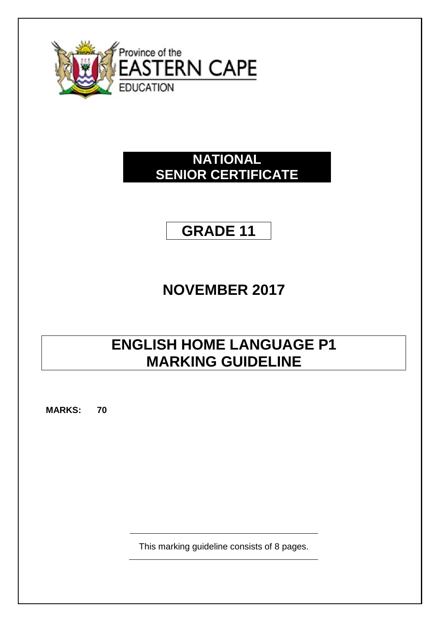

# **NATIONAL SENIOR CERTIFICATE**

# **GRADE 11**

# **NOVEMBER 2017**

# **ENGLISH HOME LANGUAGE P1 MARKING GUIDELINE**

**MARKS: 70**

This marking guideline consists of 8 pages.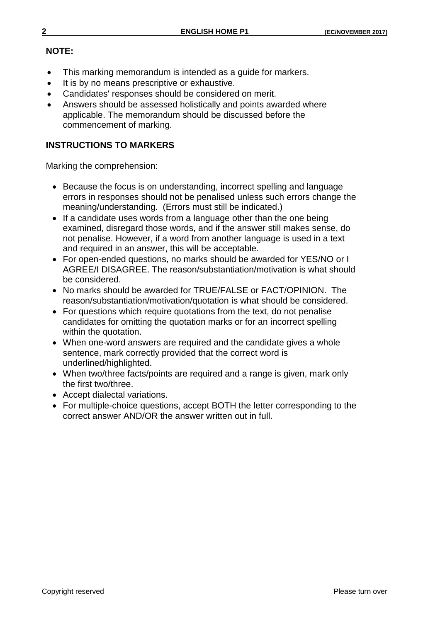## **NOTE:**

- This marking memorandum is intended as a guide for markers.
- It is by no means prescriptive or exhaustive.
- Candidates' responses should be considered on merit.
- Answers should be assessed holistically and points awarded where applicable. The memorandum should be discussed before the commencement of marking.

# **INSTRUCTIONS TO MARKERS**

Marking the comprehension:

- Because the focus is on understanding, incorrect spelling and language errors in responses should not be penalised unless such errors change the meaning/understanding. (Errors must still be indicated.)
- If a candidate uses words from a language other than the one being examined, disregard those words, and if the answer still makes sense, do not penalise. However, if a word from another language is used in a text and required in an answer, this will be acceptable.
- For open-ended questions, no marks should be awarded for YES/NO or I AGREE/I DISAGREE. The reason/substantiation/motivation is what should be considered.
- No marks should be awarded for TRUE/FALSE or FACT/OPINION. The reason/substantiation/motivation/quotation is what should be considered.
- For questions which require quotations from the text, do not penalise candidates for omitting the quotation marks or for an incorrect spelling within the quotation.
- When one-word answers are required and the candidate gives a whole sentence, mark correctly provided that the correct word is underlined/highlighted.
- When two/three facts/points are required and a range is given, mark only the first two/three.
- Accept dialectal variations.
- For multiple-choice questions, accept BOTH the letter corresponding to the correct answer AND/OR the answer written out in full.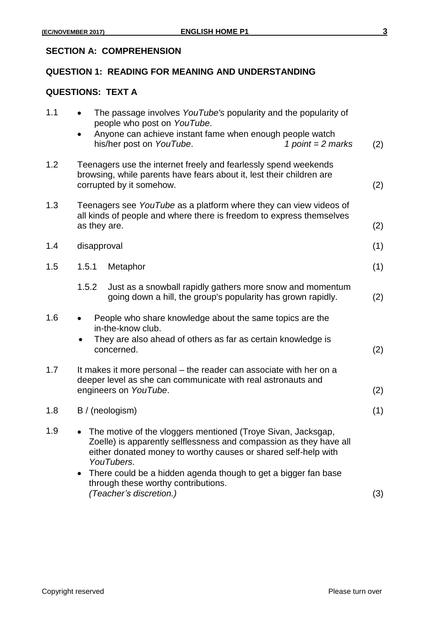#### **SECTION A: COMPREHENSION**

#### **QUESTION 1: READING FOR MEANING AND UNDERSTANDING**

|     |                                                                                                                                                                          | <b>QUESTIONS: TEXT A</b>                                                                                                                                                                                             |     |  |
|-----|--------------------------------------------------------------------------------------------------------------------------------------------------------------------------|----------------------------------------------------------------------------------------------------------------------------------------------------------------------------------------------------------------------|-----|--|
| 1.1 |                                                                                                                                                                          | The passage involves YouTube's popularity and the popularity of<br>people who post on YouTube.<br>Anyone can achieve instant fame when enough people watch<br>his/her post on YouTube.<br>1 point = $2$ marks        | (2) |  |
| 1.2 | Teenagers use the internet freely and fearlessly spend weekends<br>browsing, while parents have fears about it, lest their children are<br>corrupted by it somehow.      |                                                                                                                                                                                                                      |     |  |
| 1.3 | Teenagers see YouTube as a platform where they can view videos of<br>all kinds of people and where there is freedom to express themselves<br>as they are.                |                                                                                                                                                                                                                      |     |  |
| 1.4 | disapproval                                                                                                                                                              |                                                                                                                                                                                                                      | (1) |  |
| 1.5 | 1.5.1                                                                                                                                                                    | Metaphor                                                                                                                                                                                                             | (1) |  |
|     | 1.5.2                                                                                                                                                                    | Just as a snowball rapidly gathers more snow and momentum<br>going down a hill, the group's popularity has grown rapidly.                                                                                            | (2) |  |
| 1.6 | People who share knowledge about the same topics are the<br>in-the-know club.<br>They are also ahead of others as far as certain knowledge is<br>$\bullet$<br>concerned. |                                                                                                                                                                                                                      | (2) |  |
| 1.7 | It makes it more personal – the reader can associate with her on a<br>deeper level as she can communicate with real astronauts and<br>engineers on YouTube.              |                                                                                                                                                                                                                      |     |  |
| 1.8 |                                                                                                                                                                          | B / (neologism)                                                                                                                                                                                                      | (1) |  |
| 1.9 |                                                                                                                                                                          | • The motive of the vloggers mentioned (Troye Sivan, Jacksgap,<br>Zoelle) is apparently selflessness and compassion as they have all<br>either donated money to worthy causes or shared self-help with<br>YouTubers. |     |  |
|     | $\bullet$                                                                                                                                                                | There could be a hidden agenda though to get a bigger fan base<br>through these worthy contributions.<br>(Teacher's discretion.)                                                                                     | (3) |  |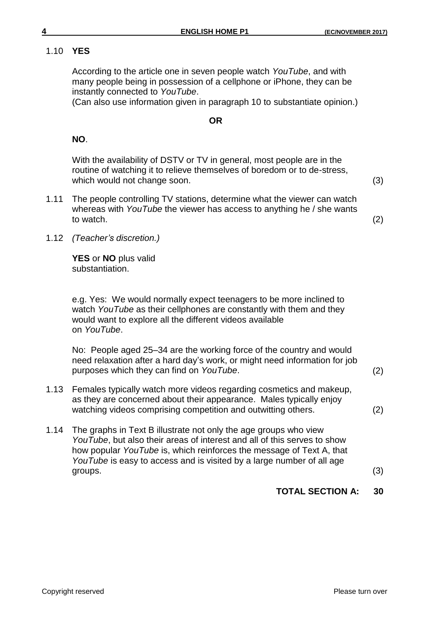# 1.10 **YES**

According to the article one in seven people watch *YouTube*, and with many people being in possession of a cellphone or iPhone, they can be instantly connected to *YouTube*.

(Can also use information given in paragraph 10 to substantiate opinion.)

#### **OR**

### **NO**.

With the availability of DSTV or TV in general, most people are in the routine of watching it to relieve themselves of boredom or to de-stress, which would not change soon. (3)

1.11 The people controlling TV stations, determine what the viewer can watch whereas with *YouTube* the viewer has access to anything he / she wants to watch.  $(2)$ 

1.12 *(Teacher's discretion.)*

**YES** or **NO** plus valid substantiation.

e.g. Yes: We would normally expect teenagers to be more inclined to watch *YouTube* as their cellphones are constantly with them and they would want to explore all the different videos available on *YouTube*.

No: People aged 25–34 are the working force of the country and would need relaxation after a hard day's work, or might need information for job purposes which they can find on *YouTube*. (2)

- 1.13 Females typically watch more videos regarding cosmetics and makeup, as they are concerned about their appearance. Males typically enjoy watching videos comprising competition and outwitting others. (2)
- 1.14 The graphs in Text B illustrate not only the age groups who view *YouTube*, but also their areas of interest and all of this serves to show how popular *YouTube* is, which reinforces the message of Text A, that *YouTube* is easy to access and is visited by a large number of all age  $groups.$   $(3)$

# **TOTAL SECTION A: 30**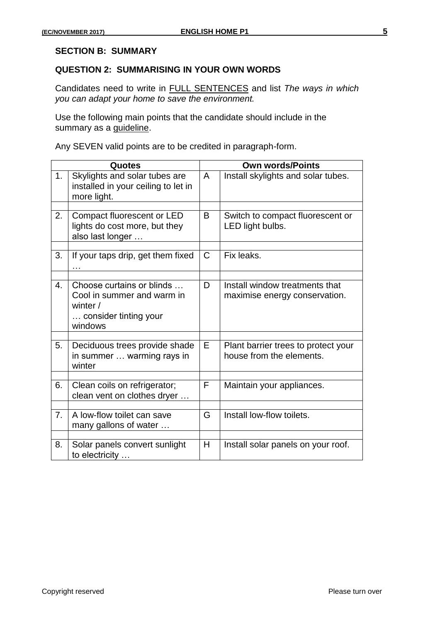#### **SECTION B: SUMMARY**

#### **QUESTION 2: SUMMARISING IN YOUR OWN WORDS**

Candidates need to write in FULL SENTENCES and list *The ways in which you can adapt your home to save the environment.*

Use the following main points that the candidate should include in the summary as a *guideline*.

Any SEVEN valid points are to be credited in paragraph-form.

| <b>Quotes</b>  |                                                                                                         |              | <b>Own words/Points</b>                                         |  |  |
|----------------|---------------------------------------------------------------------------------------------------------|--------------|-----------------------------------------------------------------|--|--|
| 1.             | Skylights and solar tubes are<br>installed in your ceiling to let in<br>more light.                     | $\mathsf{A}$ | Install skylights and solar tubes.                              |  |  |
| 2.             | Compact fluorescent or LED<br>lights do cost more, but they<br>also last longer                         | B            | Switch to compact fluorescent or<br>LED light bulbs.            |  |  |
| 3.             | If your taps drip, get them fixed                                                                       | $\mathsf{C}$ | Fix leaks.                                                      |  |  |
| 4.             | Choose curtains or blinds<br>Cool in summer and warm in<br>winter /<br>consider tinting your<br>windows | D            | Install window treatments that<br>maximise energy conservation. |  |  |
| 5.             | Deciduous trees provide shade<br>in summer  warming rays in<br>winter                                   | E            | Plant barrier trees to protect your<br>house from the elements. |  |  |
| 6.             | Clean coils on refrigerator;<br>clean vent on clothes dryer                                             | F.           | Maintain your appliances.                                       |  |  |
| 7 <sub>1</sub> | A low-flow toilet can save<br>many gallons of water                                                     | G            | Install low-flow toilets.                                       |  |  |
| 8.             | Solar panels convert sunlight<br>to electricity                                                         | H            | Install solar panels on your roof.                              |  |  |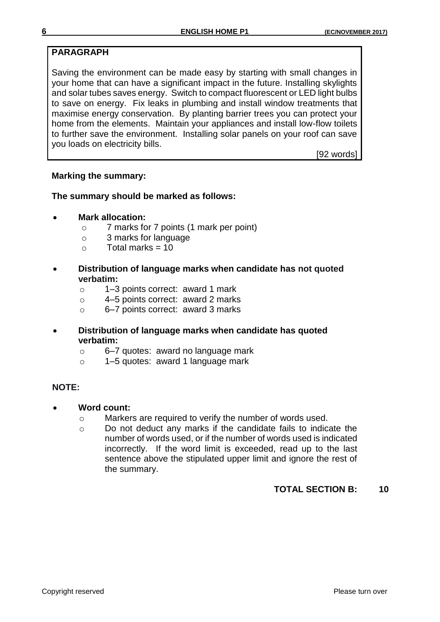# **PARAGRAPH**

Saving the environment can be made easy by starting with small changes in your home that can have a significant impact in the future. Installing skylights and solar tubes saves energy. Switch to compact fluorescent or LED light bulbs to save on energy. Fix leaks in plumbing and install window treatments that maximise energy conservation. By planting barrier trees you can protect your home from the elements. Maintain your appliances and install low-flow toilets to further save the environment. Installing solar panels on your roof can save you loads on electricity bills.

[92 words]

#### **Marking the summary:**

#### **The summary should be marked as follows:**

- **Mark allocation:**
	- o 7 marks for 7 points (1 mark per point)
	- o 3 marks for language
	- $\circ$  Total marks = 10
- **Distribution of language marks when candidate has not quoted verbatim:**
	- o 1–3 points correct: award 1 mark
	- o 4–5 points correct: award 2 marks
	- o 6–7 points correct: award 3 marks
- **Distribution of language marks when candidate has quoted verbatim:**
	- o 6–7 quotes: award no language mark
	- o 1–5 quotes: award 1 language mark

#### **NOTE:**

- **Word count:**
	- o Markers are required to verify the number of words used.
	- o Do not deduct any marks if the candidate fails to indicate the number of words used, or if the number of words used is indicated incorrectly. If the word limit is exceeded, read up to the last sentence above the stipulated upper limit and ignore the rest of the summary.

# **TOTAL SECTION B: 10**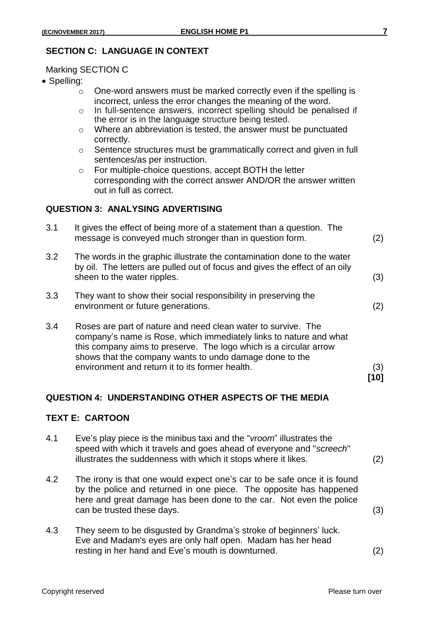### **SECTION C: LANGUAGE IN CONTEXT**

Marking SECTION C

- Spelling:
	- o One-word answers must be marked correctly even if the spelling is incorrect, unless the error changes the meaning of the word.
	- o In full-sentence answers, incorrect spelling should be penalised if the error is in the language structure being tested.
	- o Where an abbreviation is tested, the answer must be punctuated correctly.
	- o Sentence structures must be grammatically correct and given in full sentences/as per instruction.
	- o For multiple-choice questions, accept BOTH the letter corresponding with the correct answer AND/OR the answer written out in full as correct.

#### **QUESTION 3: ANALYSING ADVERTISING**

| message is conveyed much stronger than in question form.                                                                                                                                                                                                                                                               | (2)                                                                   |
|------------------------------------------------------------------------------------------------------------------------------------------------------------------------------------------------------------------------------------------------------------------------------------------------------------------------|-----------------------------------------------------------------------|
| The words in the graphic illustrate the contamination done to the water<br>by oil. The letters are pulled out of focus and gives the effect of an oily<br>sheen to the water ripples.                                                                                                                                  | (3)                                                                   |
| They want to show their social responsibility in preserving the<br>environment or future generations.                                                                                                                                                                                                                  | (2)                                                                   |
| Roses are part of nature and need clean water to survive. The<br>company's name is Rose, which immediately links to nature and what<br>this company aims to preserve. The logo which is a circular arrow<br>shows that the company wants to undo damage done to the<br>environment and return it to its former health. | (3)<br>้101                                                           |
|                                                                                                                                                                                                                                                                                                                        | It gives the effect of being more of a statement than a question. The |

#### **QUESTION 4: UNDERSTANDING OTHER ASPECTS OF THE MEDIA**

#### **TEXT E: CARTOON**

- 4.1 Eve's play piece is the minibus taxi and the "*vroom*" illustrates the speed with which it travels and goes ahead of everyone and "*screech*" illustrates the suddenness with which it stops where it likes. (2)
	-
- 4.2 The irony is that one would expect one's car to be safe once it is found by the police and returned in one piece. The opposite has happened here and great damage has been done to the car. Not even the police can be trusted these days. (3)
- 4.3 They seem to be disgusted by Grandma's stroke of beginners' luck. Eve and Madam's eyes are only half open. Madam has her head resting in her hand and Eve's mouth is downturned. (2)